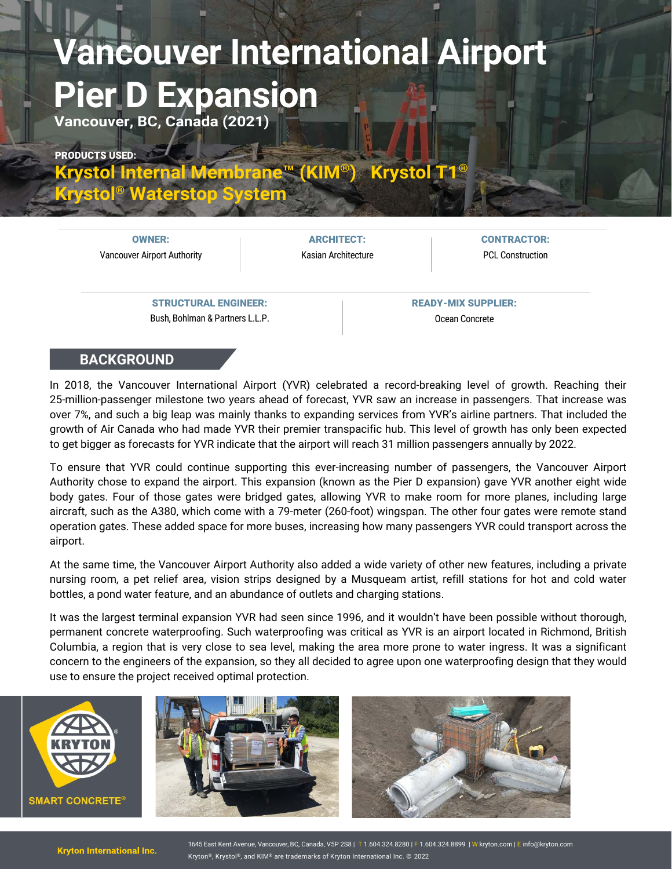## **Vancouver International Airport Pier D Expansion**

**Vancouver, BC, Canada (2021)**

PRODUCTS USED:

**[Krystol Internal Membrane™ \(KIM®\)](https://www.kryton.com/products/krystol-internal-membrane-kim/) [Krystol T1®](https://www.kryton.com/products/krystol-t1/)**

**Krystol® [Waterstop System](https://www.kryton.com/products/system/krystol-waterstop-system/)**

OWNER: Vancouver Airport Authority

ARCHITECT: Kasian Architecture CONTRACTOR: PCL Construction

STRUCTURAL ENGINEER: Bush, Bohlman & Partners L.L.P. READY-MIX SUPPLIER: Ocean Concrete

## **BACKGROUND**

In 2018, the Vancouver International Airport (YVR) celebrated a record-breaking level of growth. Reaching their 25-million-passenger milestone two years ahead of forecast, YVR saw an increase in passengers. That increase was over 7%, and such a big leap was mainly thanks to expanding services from YVR's airline partners. That included the growth of Air Canada who had made YVR their premier transpacific hub. This level of growth has only been expected to get bigger as forecasts for YVR indicate that the airport will reach 31 million passengers annually by 2022.

To ensure that YVR could continue supporting this ever-increasing number of passengers, the Vancouver Airport Authority chose to expand the airport. This expansion (known as the Pier D expansion) gave YVR another eight wide body gates. Four of those gates were bridged gates, allowing YVR to make room for more planes, including large aircraft, such as the A380, which come with a 79-meter (260-foot) wingspan. The other four gates were remote stand operation gates. These added space for more buses, increasing how many passengers YVR could transport across the airport.

At the same time, the Vancouver Airport Authority also added a wide variety of other new features, including a private nursing room, a pet relief area, vision strips designed by a Musqueam artist, refill stations for hot and cold water bottles, a pond water feature, and an abundance of outlets and charging stations.

It was the largest terminal expansion YVR had seen since 1996, and it wouldn't have been possible without thorough, permanent concrete waterproofing. Such waterproofing was critical as YVR is an airport located in Richmond, British Columbia, a region that is very close to sea level, making the area more prone to water ingress. It was a significant concern to the engineers of the expansion, so they all decided to agree upon one waterproofing design that they would use to ensure the project received optimal protection.



1645 East Kent Avenue, Vancouver, BC, Canada, V5P 2S8 | T 1.604.324.8280 | F 1.604.324.8899 | [W kryton.c](http://kryton.com/)om | E [info@kryton.com](mailto:info@kryton.com) Kryton®, Krystol®, and KIM® are trademarks of Kryton International Inc. © 2022